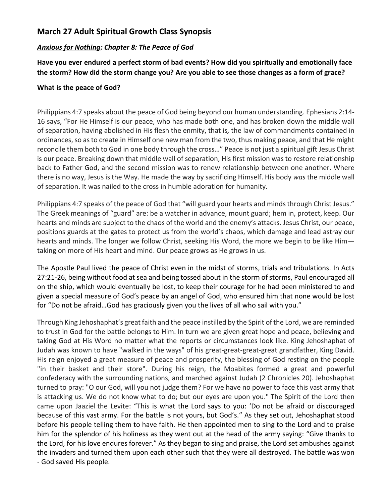## **March 27 Adult Spiritual Growth Class Synopsis**

## *Anxious for Nothing: Chapter 8: The Peace of God*

**Have you ever endured a perfect storm of bad events? How did you spiritually and emotionally face the storm? How did the storm change you? Are you able to see those changes as a form of grace?**

## **What is the peace of God?**

Philippians 4:7 speaks about the peace of God being beyond our human understanding. Ephesians 2:14- 16 says, "For He Himself is our peace, who has made both one, and has broken down the middle wall of separation, having abolished in His flesh the enmity, that is*,* the law of commandments contained in ordinances, so as to create in Himself one new man from the two, thus making peace, and that He might reconcile them both to God in one body through the cross…" Peace is not just a spiritual gift Jesus Christ is our peace. Breaking down that middle wall of separation, His first mission was to restore relationship back to Father God, and the second mission was to renew relationship between one another. Where there is no way, Jesus is the Way. He made the way by sacrificing Himself. His body *was* the middle wall of separation. It was nailed to the cross in humble adoration for humanity.

Philippians 4:7 speaks of the peace of God that "will guard your hearts and minds through Christ Jesus." The Greek meanings of "guard" are: be a watcher in advance, mount guard; hem in, protect, keep. Our hearts and minds are subject to the chaos of the world and the enemy's attacks. Jesus Christ, our peace, positions guards at the gates to protect us from the world's chaos, which damage and lead astray our hearts and minds. The longer we follow Christ, seeking His Word, the more we begin to be like Him taking on more of His heart and mind. Our peace grows as He grows in us.

The Apostle Paul lived the peace of Christ even in the midst of storms, trials and tribulations. In Acts 27:21-26, being without food at sea and being tossed about in the storm of storms, Paul encouraged all on the ship, which would eventually be lost, to keep their courage for he had been ministered to and given a special measure of God's peace by an angel of God, who ensured him that none would be lost for "Do not be afraid…God has graciously given you the lives of all who sail with you."

Through King Jehoshaphat's great faith and the peace instilled by the Spirit of the Lord, we are reminded to trust in God for the battle belongs to Him. In turn we are given great hope and peace, believing and taking God at His Word no matter what the reports or circumstances look like. King Jehoshaphat of Judah was known to have "walked in the ways" of his great-great-great-great grandfather, King David. His reign enjoyed a great measure of peace and prosperity, the blessing of God resting on the people "in their basket and their store". During his reign, the Moabites formed a great and powerful confederacy with the surrounding nations, and marched against Judah (2 Chronicles 20). Jehoshaphat turned to pray: "O our God, will you not judge them? For we have no power to face this vast army that is attacking us. We do not know what to do; but our eyes are upon you." The Spirit of the Lord then came upon Jaaziel the Levite: "This is what the Lord says to you: 'Do not be afraid or discouraged because of this vast army. For the battle is not yours, but God's." As they set out, Jehoshaphat stood before his people telling them to have faith. He then appointed men to sing to the Lord and to praise him for the splendor of his holiness as they went out at the head of the army saying: "Give thanks to the Lord, for his love endures forever." As they began to sing and praise, the Lord set ambushes against the invaders and turned them upon each other such that they were all destroyed. The battle was won - God saved His people.